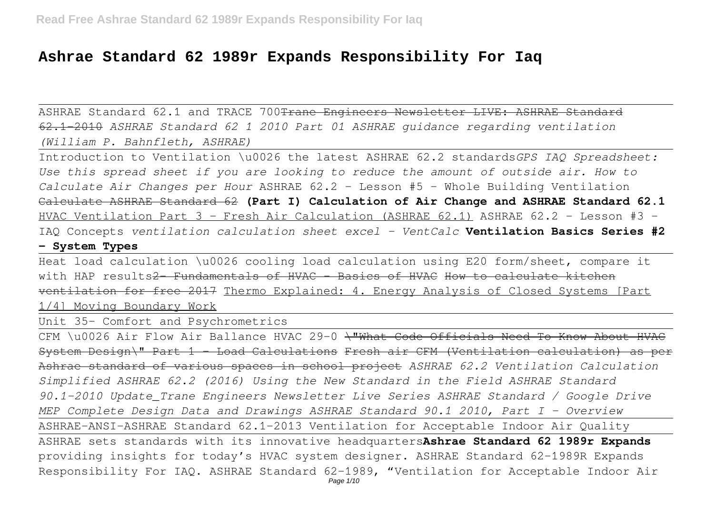# **Ashrae Standard 62 1989r Expands Responsibility For Iaq**

ASHRAE Standard 62.1 and TRACE 700 Trane Engineers Newsletter LIVE: ASHRAE Standard 62.1-2010 *ASHRAE Standard 62 1 2010 Part 01 ASHRAE guidance regarding ventilation (William P. Bahnfleth, ASHRAE)*

Introduction to Ventilation \u0026 the latest ASHRAE 62.2 standards*GPS IAQ Spreadsheet: Use this spread sheet if you are looking to reduce the amount of outside air. How to Calculate Air Changes per Hour* ASHRAE 62.2 - Lesson #5 - Whole Building Ventilation Calculate ASHRAE Standard 62 **(Part I) Calculation of Air Change and ASHRAE Standard 62.1** HVAC Ventilation Part 3 - Fresh Air Calculation (ASHRAE 62.1) ASHRAE 62.2 - Lesson #3 -IAQ Concepts *ventilation calculation sheet excel - VentCalc* **Ventilation Basics Series #2**

# **- System Types**

Heat load calculation \u0026 cooling load calculation using E20 form/sheet, compare it with HAP results<del>2 Fundamentals of HVAC - Basics of HVAC How to calculate kitchen</del> ventilation for free 2017 Thermo Explained: 4. Energy Analysis of Closed Systems [Part 1/4] Moving Boundary Work

Unit 35- Comfort and Psychrometrics

CFM \u0026 Air Flow Air Ballance HVAC 29-0 \"What Code Officials Need To Know About HVAC System Design\" Part 1 - Load Calculations Fresh air CFM (Ventilation calculation) as per Ashrae standard of various spaces in school project *ASHRAE 62.2 Ventilation Calculation Simplified ASHRAE 62.2 (2016) Using the New Standard in the Field ASHRAE Standard 90.1-2010 Update\_Trane Engineers Newsletter Live Series ASHRAE Standard / Google Drive MEP Complete Design Data and Drawings ASHRAE Standard 90.1 2010, Part I - Overview* ASHRAE-ANSI-ASHRAE Standard 62.1-2013 Ventilation for Acceptable Indoor Air Quality ASHRAE sets standards with its innovative headquarters**Ashrae Standard 62 1989r Expands** providing insights for today's HVAC system designer. ASHRAE Standard 62-1989R Expands Responsibility For IAQ. ASHRAE Standard 62-1989, "Ventilation for Acceptable Indoor Air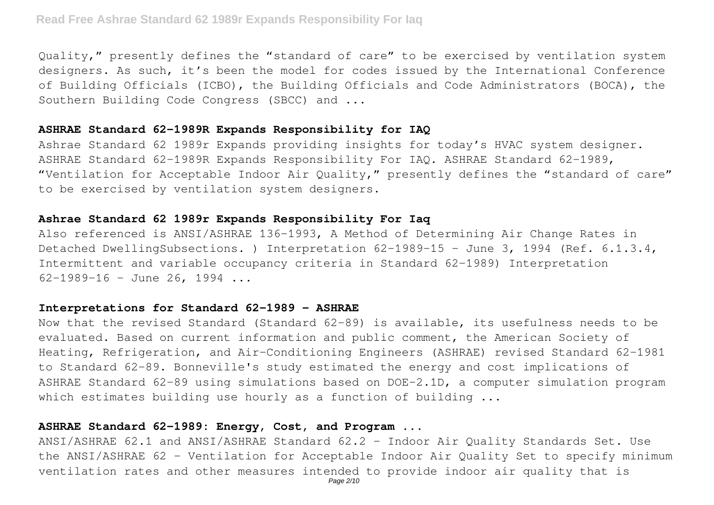Quality," presently defines the "standard of care" to be exercised by ventilation system designers. As such, it's been the model for codes issued by the International Conference of Building Officials (ICBO), the Building Officials and Code Administrators (BOCA), the Southern Building Code Congress (SBCC) and ...

# **ASHRAE Standard 62-1989R Expands Responsibility for IAQ**

Ashrae Standard 62 1989r Expands providing insights for today's HVAC system designer. ASHRAE Standard 62-1989R Expands Responsibility For IAQ. ASHRAE Standard 62-1989, "Ventilation for Acceptable Indoor Air Quality," presently defines the "standard of care" to be exercised by ventilation system designers.

# **Ashrae Standard 62 1989r Expands Responsibility For Iaq**

Also referenced is ANSI/ASHRAE 136-1993, A Method of Determining Air Change Rates in Detached DwellingSubsections. ) Interpretation 62-1989-15 - June 3, 1994 (Ref. 6.1.3.4, Intermittent and variable occupancy criteria in Standard 62-1989) Interpretation  $62-1989-16$  - June 26, 1994 ...

# **Interpretations for Standard 62-1989 - ASHRAE**

Now that the revised Standard (Standard 62-89) is available, its usefulness needs to be evaluated. Based on current information and public comment, the American Society of Heating, Refrigeration, and Air-Conditioning Engineers (ASHRAE) revised Standard 62-1981 to Standard 62-89. Bonneville's study estimated the energy and cost implications of ASHRAE Standard 62-89 using simulations based on DOE-2.1D, a computer simulation program which estimates building use hourly as a function of building ...

# **ASHRAE Standard 62-1989: Energy, Cost, and Program ...**

ANSI/ASHRAE 62.1 and ANSI/ASHRAE Standard 62.2 - Indoor Air Ouality Standards Set. Use the ANSI/ASHRAE 62 - Ventilation for Acceptable Indoor Air Quality Set to specify minimum ventilation rates and other measures intended to provide indoor air quality that is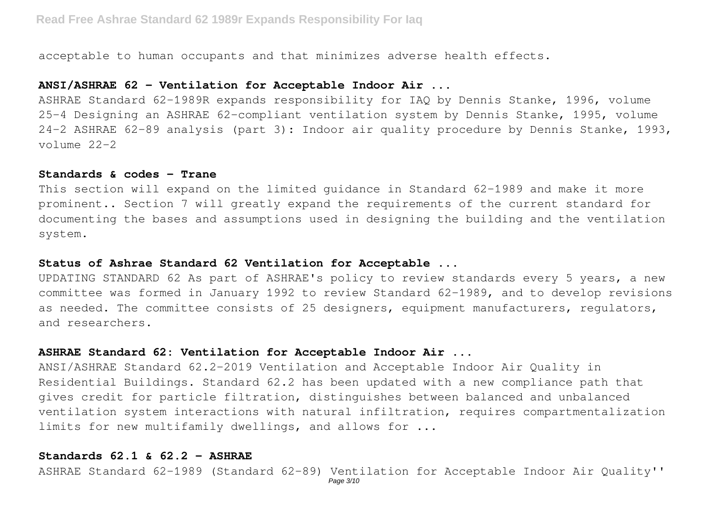acceptable to human occupants and that minimizes adverse health effects.

# **ANSI/ASHRAE 62 - Ventilation for Acceptable Indoor Air ...**

ASHRAE Standard 62-1989R expands responsibility for IAQ by Dennis Stanke, 1996, volume 25-4 Designing an ASHRAE 62-compliant ventilation system by Dennis Stanke, 1995, volume 24-2 ASHRAE 62-89 analysis (part 3): Indoor air quality procedure by Dennis Stanke, 1993, volume 22-2

#### **Standards & codes - Trane**

This section will expand on the limited guidance in Standard 62-1989 and make it more prominent.. Section 7 will greatly expand the requirements of the current standard for documenting the bases and assumptions used in designing the building and the ventilation system.

# **Status of Ashrae Standard 62 Ventilation for Acceptable ...**

UPDATING STANDARD 62 As part of ASHRAE's policy to review standards every 5 years, a new committee was formed in January 1992 to review Standard 62-1989, and to develop revisions as needed. The committee consists of 25 designers, equipment manufacturers, regulators, and researchers.

# **ASHRAE Standard 62: Ventilation for Acceptable Indoor Air ...**

ANSI/ASHRAE Standard 62.2-2019 Ventilation and Acceptable Indoor Air Quality in Residential Buildings. Standard 62.2 has been updated with a new compliance path that gives credit for particle filtration, distinguishes between balanced and unbalanced ventilation system interactions with natural infiltration, requires compartmentalization limits for new multifamily dwellings, and allows for ...

# **Standards 62.1 & 62.2 - ASHRAE**

ASHRAE Standard 62-1989 (Standard 62-89) Ventilation for Acceptable Indoor Air Quality''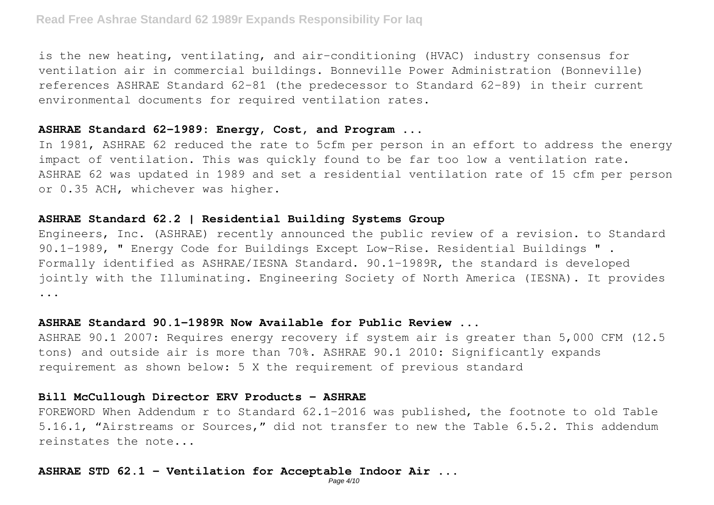is the new heating, ventilating, and air-conditioning (HVAC) industry consensus for ventilation air in commercial buildings. Bonneville Power Administration (Bonneville) references ASHRAE Standard 62-81 (the predecessor to Standard 62-89) in their current environmental documents for required ventilation rates.

# **ASHRAE Standard 62-1989: Energy, Cost, and Program ...**

In 1981, ASHRAE 62 reduced the rate to 5cfm per person in an effort to address the energy impact of ventilation. This was quickly found to be far too low a ventilation rate. ASHRAE 62 was updated in 1989 and set a residential ventilation rate of 15 cfm per person or 0.35 ACH, whichever was higher.

# **ASHRAE Standard 62.2 | Residential Building Systems Group**

Engineers, Inc. (ASHRAE) recently announced the public review of a revision. to Standard 90.1-1989, " Energy Code for Buildings Except Low-Rise. Residential Buildings " . Formally identified as ASHRAE/IESNA Standard. 90.1-1989R, the standard is developed jointly with the Illuminating. Engineering Society of North America (IESNA). It provides ...

## **ASHRAE Standard 90.1-1989R Now Available for Public Review ...**

ASHRAE 90.1 2007: Requires energy recovery if system air is greater than 5,000 CFM (12.5 tons) and outside air is more than 70%. ASHRAE 90.1 2010: Significantly expands requirement as shown below: 5 X the requirement of previous standard

### **Bill McCullough Director ERV Products - ASHRAE**

FOREWORD When Addendum r to Standard 62.1-2016 was published, the footnote to old Table 5.16.1, "Airstreams or Sources," did not transfer to new the Table 6.5.2. This addendum reinstates the note...

# **ASHRAE STD 62.1 - Ventilation for Acceptable Indoor Air ...**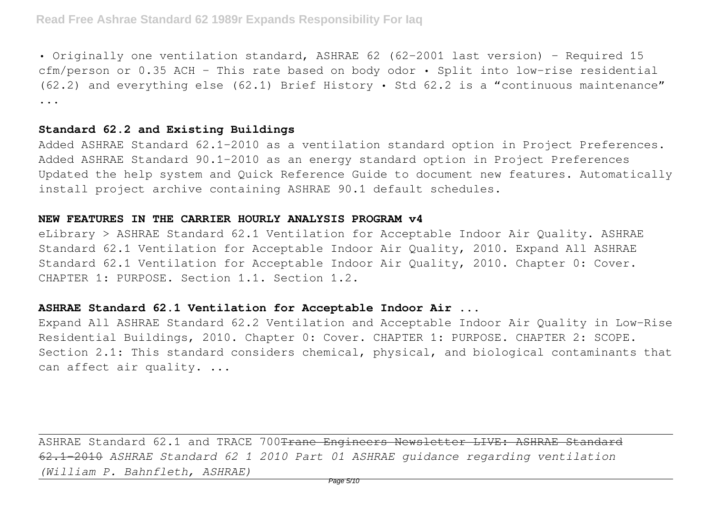• Originally one ventilation standard, ASHRAE 62 (62-2001 last version) – Required 15 cfm/person or 0.35 ACH – This rate based on body odor • Split into low-rise residential (62.2) and everything else (62.1) Brief History • Std 62.2 is a "continuous maintenance" ...

# **Standard 62.2 and Existing Buildings**

Added ASHRAE Standard 62.1-2010 as a ventilation standard option in Project Preferences. Added ASHRAE Standard 90.1-2010 as an energy standard option in Project Preferences Updated the help system and Quick Reference Guide to document new features. Automatically install project archive containing ASHRAE 90.1 default schedules.

### **NEW FEATURES IN THE CARRIER HOURLY ANALYSIS PROGRAM v4**

eLibrary > ASHRAE Standard 62.1 Ventilation for Acceptable Indoor Air Quality. ASHRAE Standard 62.1 Ventilation for Acceptable Indoor Air Quality, 2010. Expand All ASHRAE Standard 62.1 Ventilation for Acceptable Indoor Air Quality, 2010. Chapter 0: Cover. CHAPTER 1: PURPOSE. Section 1.1. Section 1.2.

# **ASHRAE Standard 62.1 Ventilation for Acceptable Indoor Air ...**

Expand All ASHRAE Standard 62.2 Ventilation and Acceptable Indoor Air Quality in Low-Rise Residential Buildings, 2010. Chapter 0: Cover. CHAPTER 1: PURPOSE. CHAPTER 2: SCOPE. Section 2.1: This standard considers chemical, physical, and biological contaminants that can affect air quality. ...

ASHRAE Standard 62.1 and TRACE 700 Trane Engineers Newsletter LIVE: ASHRAE Standard 62.1-2010 *ASHRAE Standard 62 1 2010 Part 01 ASHRAE guidance regarding ventilation (William P. Bahnfleth, ASHRAE)*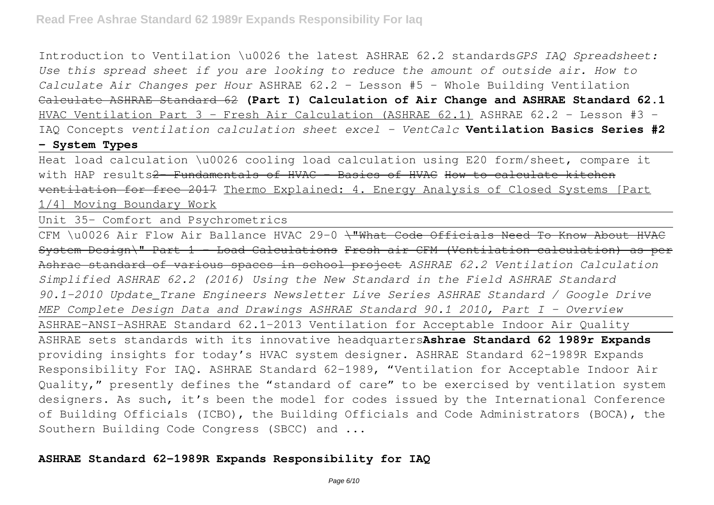Introduction to Ventilation \u0026 the latest ASHRAE 62.2 standards*GPS IAQ Spreadsheet: Use this spread sheet if you are looking to reduce the amount of outside air. How to Calculate Air Changes per Hour* ASHRAE 62.2 - Lesson #5 - Whole Building Ventilation Calculate ASHRAE Standard 62 **(Part I) Calculation of Air Change and ASHRAE Standard 62.1** HVAC Ventilation Part 3 - Fresh Air Calculation (ASHRAE 62.1) ASHRAE 62.2 - Lesson #3 -IAQ Concepts *ventilation calculation sheet excel - VentCalc* **Ventilation Basics Series #2 - System Types**

Heat load calculation \u0026 cooling load calculation using E20 form/sheet, compare it

with HAP results<del>2 Fundamentals of HVAC - Basics of HVAC</del> How to calculate kitchen ventilation for free 2017 Thermo Explained: 4. Energy Analysis of Closed Systems [Part 1/4] Moving Boundary Work

Unit 35- Comfort and Psychrometrics

CFM \u0026 Air Flow Air Ballance HVAC 29-0 \"What Code Officials Need To Know About HVAC System Design\" Part 1 - Load Calculations Fresh air CFM (Ventilation calculation) as per Ashrae standard of various spaces in school project *ASHRAE 62.2 Ventilation Calculation Simplified ASHRAE 62.2 (2016) Using the New Standard in the Field ASHRAE Standard 90.1-2010 Update\_Trane Engineers Newsletter Live Series ASHRAE Standard / Google Drive MEP Complete Design Data and Drawings ASHRAE Standard 90.1 2010, Part I - Overview* ASHRAE-ANSI-ASHRAE Standard 62.1-2013 Ventilation for Acceptable Indoor Air Quality ASHRAE sets standards with its innovative headquarters**Ashrae Standard 62 1989r Expands** providing insights for today's HVAC system designer. ASHRAE Standard 62-1989R Expands Responsibility For IAQ. ASHRAE Standard 62-1989, "Ventilation for Acceptable Indoor Air Quality," presently defines the "standard of care" to be exercised by ventilation system designers. As such, it's been the model for codes issued by the International Conference of Building Officials (ICBO), the Building Officials and Code Administrators (BOCA), the Southern Building Code Congress (SBCC) and ...

# **ASHRAE Standard 62-1989R Expands Responsibility for IAQ**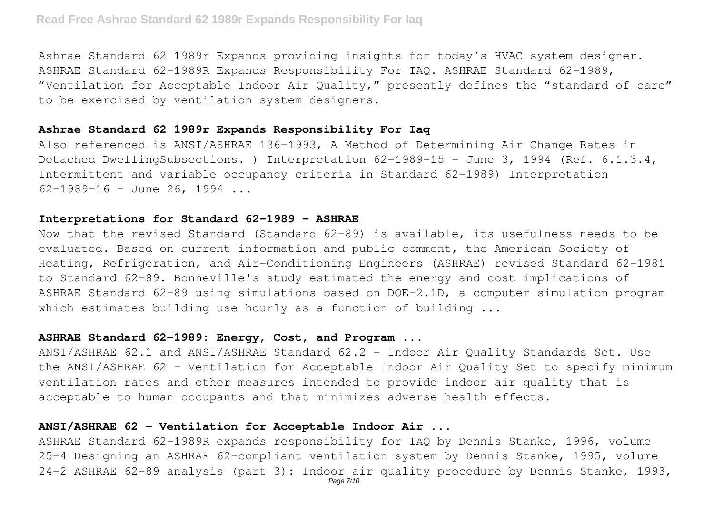Ashrae Standard 62 1989r Expands providing insights for today's HVAC system designer. ASHRAE Standard 62-1989R Expands Responsibility For IAQ. ASHRAE Standard 62-1989, "Ventilation for Acceptable Indoor Air Quality," presently defines the "standard of care" to be exercised by ventilation system designers.

# **Ashrae Standard 62 1989r Expands Responsibility For Iaq**

Also referenced is ANSI/ASHRAE 136-1993, A Method of Determining Air Change Rates in Detached DwellingSubsections. ) Interpretation 62-1989-15 - June 3, 1994 (Ref. 6.1.3.4, Intermittent and variable occupancy criteria in Standard 62-1989) Interpretation  $62-1989-16$  - June 26, 1994 ...

## **Interpretations for Standard 62-1989 - ASHRAE**

Now that the revised Standard (Standard 62-89) is available, its usefulness needs to be evaluated. Based on current information and public comment, the American Society of Heating, Refrigeration, and Air-Conditioning Engineers (ASHRAE) revised Standard 62-1981 to Standard 62-89. Bonneville's study estimated the energy and cost implications of ASHRAE Standard 62-89 using simulations based on DOE-2.1D, a computer simulation program which estimates building use hourly as a function of building ...

#### **ASHRAE Standard 62-1989: Energy, Cost, and Program ...**

ANSI/ASHRAE 62.1 and ANSI/ASHRAE Standard 62.2 - Indoor Air Quality Standards Set. Use the ANSI/ASHRAE 62 - Ventilation for Acceptable Indoor Air Quality Set to specify minimum ventilation rates and other measures intended to provide indoor air quality that is acceptable to human occupants and that minimizes adverse health effects.

# **ANSI/ASHRAE 62 - Ventilation for Acceptable Indoor Air ...**

ASHRAE Standard 62-1989R expands responsibility for IAQ by Dennis Stanke, 1996, volume 25-4 Designing an ASHRAE 62-compliant ventilation system by Dennis Stanke, 1995, volume 24-2 ASHRAE 62-89 analysis (part 3): Indoor air quality procedure by Dennis Stanke, 1993,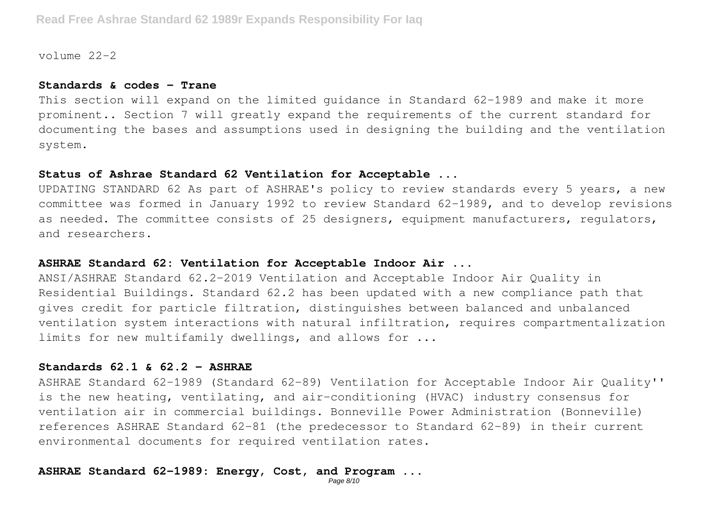volume  $22-2$ 

#### **Standards & codes - Trane**

This section will expand on the limited guidance in Standard 62-1989 and make it more prominent.. Section 7 will greatly expand the requirements of the current standard for documenting the bases and assumptions used in designing the building and the ventilation system.

## **Status of Ashrae Standard 62 Ventilation for Acceptable ...**

UPDATING STANDARD 62 As part of ASHRAE's policy to review standards every 5 years, a new committee was formed in January 1992 to review Standard 62-1989, and to develop revisions as needed. The committee consists of 25 designers, equipment manufacturers, regulators, and researchers.

# **ASHRAE Standard 62: Ventilation for Acceptable Indoor Air ...**

ANSI/ASHRAE Standard 62.2-2019 Ventilation and Acceptable Indoor Air Quality in Residential Buildings. Standard 62.2 has been updated with a new compliance path that gives credit for particle filtration, distinguishes between balanced and unbalanced ventilation system interactions with natural infiltration, requires compartmentalization limits for new multifamily dwellings, and allows for ...

# **Standards 62.1 & 62.2 - ASHRAE**

ASHRAE Standard 62-1989 (Standard 62-89) Ventilation for Acceptable Indoor Air Quality'' is the new heating, ventilating, and air-conditioning (HVAC) industry consensus for ventilation air in commercial buildings. Bonneville Power Administration (Bonneville) references ASHRAE Standard 62-81 (the predecessor to Standard 62-89) in their current environmental documents for required ventilation rates.

# **ASHRAE Standard 62-1989: Energy, Cost, and Program ...**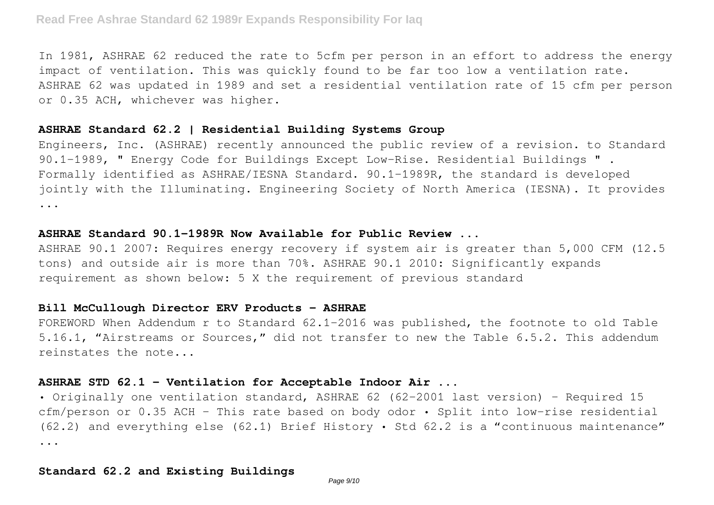In 1981, ASHRAE 62 reduced the rate to 5cfm per person in an effort to address the energy impact of ventilation. This was quickly found to be far too low a ventilation rate. ASHRAE 62 was updated in 1989 and set a residential ventilation rate of 15 cfm per person or 0.35 ACH, whichever was higher.

# **ASHRAE Standard 62.2 | Residential Building Systems Group**

Engineers, Inc. (ASHRAE) recently announced the public review of a revision. to Standard 90.1-1989, " Energy Code for Buildings Except Low-Rise. Residential Buildings " . Formally identified as ASHRAE/IESNA Standard. 90.1-1989R, the standard is developed jointly with the Illuminating. Engineering Society of North America (IESNA). It provides ...

# **ASHRAE Standard 90.1-1989R Now Available for Public Review ...**

ASHRAE 90.1 2007: Requires energy recovery if system air is greater than 5,000 CFM (12.5 tons) and outside air is more than 70%. ASHRAE 90.1 2010: Significantly expands requirement as shown below: 5 X the requirement of previous standard

# **Bill McCullough Director ERV Products - ASHRAE**

FOREWORD When Addendum r to Standard 62.1-2016 was published, the footnote to old Table 5.16.1, "Airstreams or Sources," did not transfer to new the Table 6.5.2. This addendum reinstates the note...

# **ASHRAE STD 62.1 - Ventilation for Acceptable Indoor Air ...**

• Originally one ventilation standard, ASHRAE 62 (62-2001 last version) – Required 15 cfm/person or 0.35 ACH – This rate based on body odor • Split into low-rise residential (62.2) and everything else (62.1) Brief History • Std 62.2 is a "continuous maintenance" ...

# **Standard 62.2 and Existing Buildings**